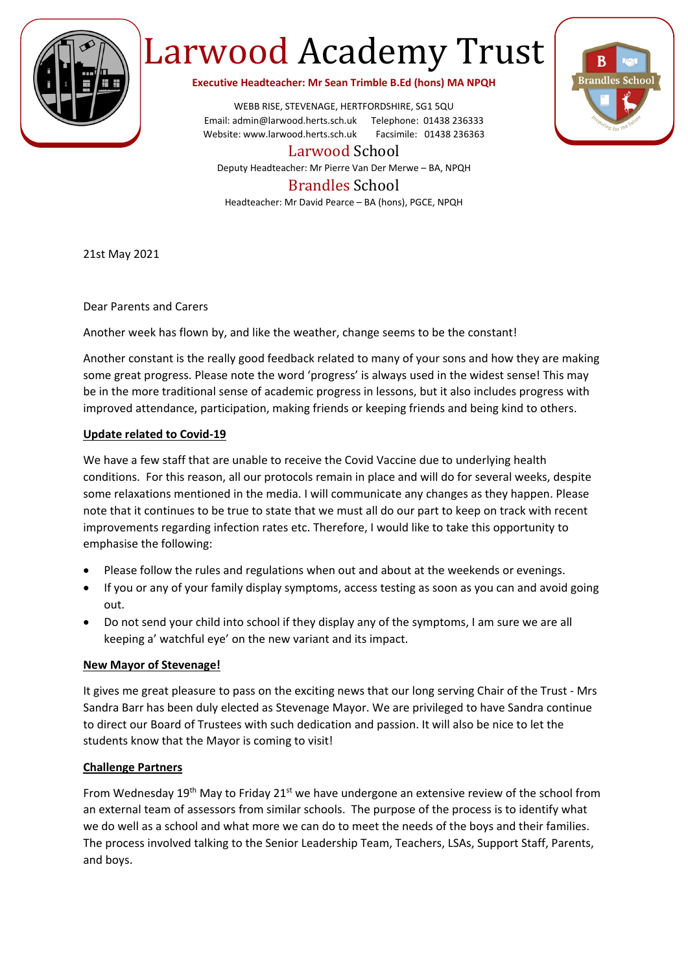

# Larwood Academy Trust

**Executive Headteacher: Mr Sean Trimble B.Ed (hons) MA NPQH**

WEBB RISE, STEVENAGE, HERTFORDSHIRE, SG1 5QU Email: admin@larwood.herts.sch.uk Telephone: 01438 236333 Website: www.larwood.herts.sch.uk Facsimile: 01438 236363

Larwood School

Deputy Headteacher: Mr Pierre Van Der Merwe – BA, NPQH

## Brandles School

Headteacher: Mr David Pearce – BA (hons), PGCE, NPQH

21st May 2021

Dear Parents and Carers

Another week has flown by, and like the weather, change seems to be the constant!

Another constant is the really good feedback related to many of your sons and how they are making some great progress. Please note the word 'progress' is always used in the widest sense! This may be in the more traditional sense of academic progress in lessons, but it also includes progress with improved attendance, participation, making friends or keeping friends and being kind to others.

#### **Update related to Covid-19**

We have a few staff that are unable to receive the Covid Vaccine due to underlying health conditions. For this reason, all our protocols remain in place and will do for several weeks, despite some relaxations mentioned in the media. I will communicate any changes as they happen. Please note that it continues to be true to state that we must all do our part to keep on track with recent improvements regarding infection rates etc. Therefore, I would like to take this opportunity to emphasise the following:

- Please follow the rules and regulations when out and about at the weekends or evenings.
- If you or any of your family display symptoms, access testing as soon as you can and avoid going out.
- Do not send your child into school if they display any of the symptoms, I am sure we are all keeping a' watchful eye' on the new variant and its impact.

#### **New Mayor of Stevenage!**

It gives me great pleasure to pass on the exciting news that our long serving Chair of the Trust - Mrs Sandra Barr has been duly elected as Stevenage Mayor. We are privileged to have Sandra continue to direct our Board of Trustees with such dedication and passion. It will also be nice to let the students know that the Mayor is coming to visit!

### **Challenge Partners**

From Wednesday 19<sup>th</sup> May to Friday 21<sup>st</sup> we have undergone an extensive review of the school from an external team of assessors from similar schools. The purpose of the process is to identify what we do well as a school and what more we can do to meet the needs of the boys and their families. The process involved talking to the Senior Leadership Team, Teachers, LSAs, Support Staff, Parents, and boys.